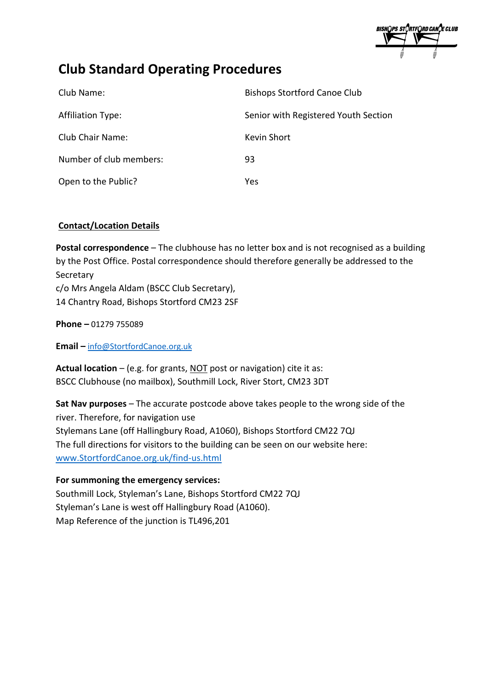BISHQPS STORTFQRD CANQE CLUB

# **Club Standard Operating Procedures**

| Club Name:               | <b>Bishops Stortford Canoe Club</b>  |
|--------------------------|--------------------------------------|
| <b>Affiliation Type:</b> | Senior with Registered Youth Section |
| Club Chair Name:         | Kevin Short                          |
| Number of club members:  | 93                                   |
| Open to the Public?      | Yes                                  |

# **Contact/Location Details**

**Postal correspondence** – The clubhouse has no letter box and is not recognised as a building by the Post Office. Postal correspondence should therefore generally be addressed to the Secretary c/o Mrs Angela Aldam (BSCC Club Secretary), 14 Chantry Road, Bishops Stortford CM23 2SF

**Phone –** 01279 755089

**Email –** [info@StortfordCanoe.org.uk](mailto:info@StortfordCanoe.org.uk)

Actual location – (e.g. for grants, NOT post or navigation) cite it as: BSCC Clubhouse (no mailbox), Southmill Lock, River Stort, CM23 3DT

**Sat Nav purposes** – The accurate postcode above takes people to the wrong side of the river. Therefore, for navigation use Stylemans Lane (off Hallingbury Road, A1060), Bishops Stortford CM22 7QJ The full directions for visitors to the building can be seen on our website here: [www.StortfordCanoe.org.uk/find-us.html](http://www.stortfordcanoe.org.uk/find-us.html)

## **For summoning the emergency services:**

Southmill Lock, Styleman's Lane, Bishops Stortford CM22 7QJ Styleman's Lane is west off Hallingbury Road (A1060). Map Reference of the junction is TL496,201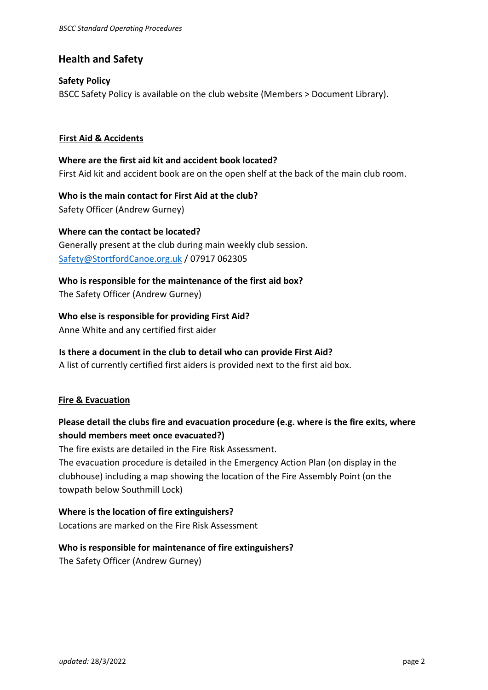## **Health and Safety**

#### **Safety Policy**

BSCC Safety Policy is available on the club website (Members > Document Library).

#### **First Aid & Accidents**

**Where are the first aid kit and accident book located?** First Aid kit and accident book are on the open shelf at the back of the main club room.

**Who is the main contact for First Aid at the club?** Safety Officer (Andrew Gurney)

**Where can the contact be located?**  Generally present at the club during main weekly club session. [Safety@StortfordCanoe.org.uk](mailto:Safety@StortfordCanoe.org.uk) / 07917 062305

**Who is responsible for the maintenance of the first aid box?** The Safety Officer (Andrew Gurney)

**Who else is responsible for providing First Aid?**  Anne White and any certified first aider

#### **Is there a document in the club to detail who can provide First Aid?**

A list of currently certified first aiders is provided next to the first aid box.

#### **Fire & Evacuation**

# **Please detail the clubs fire and evacuation procedure (e.g. where is the fire exits, where should members meet once evacuated?)**

The fire exists are detailed in the Fire Risk Assessment.

The evacuation procedure is detailed in the Emergency Action Plan (on display in the clubhouse) including a map showing the location of the Fire Assembly Point (on the towpath below Southmill Lock)

**Where is the location of fire extinguishers?**  Locations are marked on the Fire Risk Assessment

#### **Who is responsible for maintenance of fire extinguishers?**

The Safety Officer (Andrew Gurney)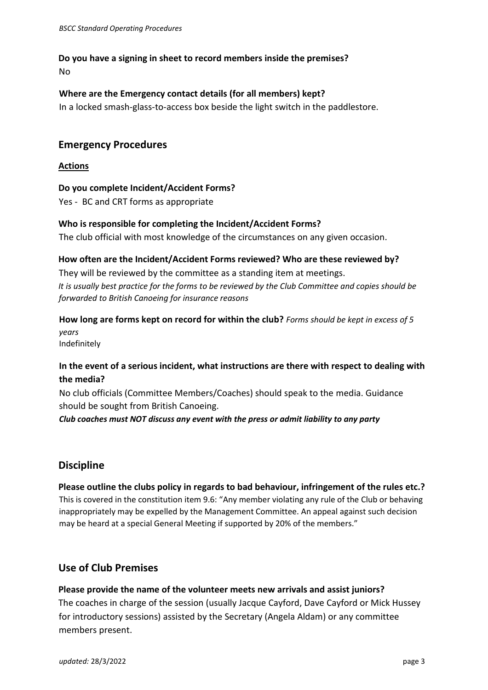### **Do you have a signing in sheet to record members inside the premises?** No

### **Where are the Emergency contact details (for all members) kept?**

In a locked smash-glass-to-access box beside the light switch in the paddlestore.

## **Emergency Procedures**

#### **Actions**

**Do you complete Incident/Accident Forms?** Yes - BC and CRT forms as appropriate

### **Who is responsible for completing the Incident/Accident Forms?**

The club official with most knowledge of the circumstances on any given occasion.

## **How often are the Incident/Accident Forms reviewed? Who are these reviewed by?**

They will be reviewed by the committee as a standing item at meetings. *It is usually best practice for the forms to be reviewed by the Club Committee and copies should be forwarded to British Canoeing for insurance reasons*

# **How long are forms kept on record for within the club?** *Forms should be kept in excess of 5 years*

Indefinitely

# **In the event of a serious incident, what instructions are there with respect to dealing with the media?**

No club officials (Committee Members/Coaches) should speak to the media. Guidance should be sought from British Canoeing.

*Club coaches must NOT discuss any event with the press or admit liability to any party*

# **Discipline**

# **Please outline the clubs policy in regards to bad behaviour, infringement of the rules etc.?**  This is covered in the constitution item 9.6: "Any member violating any rule of the Club or behaving inappropriately may be expelled by the Management Committee. An appeal against such decision may be heard at a special General Meeting if supported by 20% of the members."

## **Use of Club Premises**

**Please provide the name of the volunteer meets new arrivals and assist juniors?** The coaches in charge of the session (usually Jacque Cayford, Dave Cayford or Mick Hussey for introductory sessions) assisted by the Secretary (Angela Aldam) or any committee members present.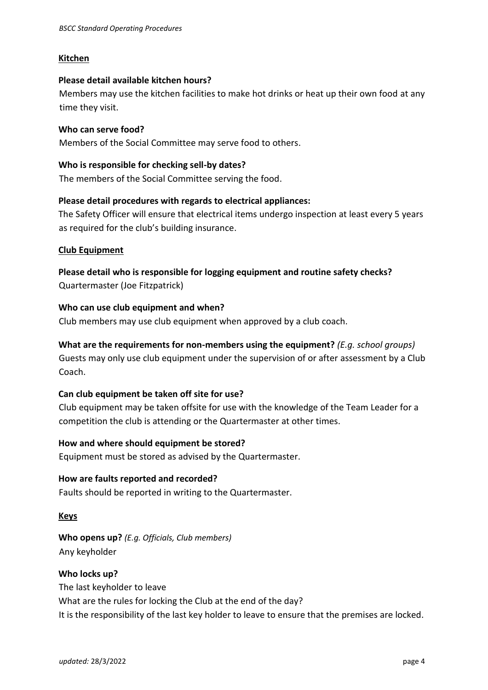#### **Kitchen**

#### **Please detail available kitchen hours?**

Members may use the kitchen facilities to make hot drinks or heat up their own food at any time they visit.

#### **Who can serve food?**

Members of the Social Committee may serve food to others.

#### **Who is responsible for checking sell-by dates?**

The members of the Social Committee serving the food.

#### **Please detail procedures with regards to electrical appliances:**

The Safety Officer will ensure that electrical items undergo inspection at least every 5 years as required for the club's building insurance.

#### **Club Equipment**

**Please detail who is responsible for logging equipment and routine safety checks?** Quartermaster (Joe Fitzpatrick)

#### **Who can use club equipment and when?**

Club members may use club equipment when approved by a club coach.

# **What are the requirements for non-members using the equipment?** *(E.g. school groups)*

Guests may only use club equipment under the supervision of or after assessment by a Club Coach.

#### **Can club equipment be taken off site for use?**

Club equipment may be taken offsite for use with the knowledge of the Team Leader for a competition the club is attending or the Quartermaster at other times.

#### **How and where should equipment be stored?**

Equipment must be stored as advised by the Quartermaster.

#### **How are faults reported and recorded?**

Faults should be reported in writing to the Quartermaster.

#### **Keys**

**Who opens up?** *(E.g. Officials, Club members)* Any keyholder

# **Who locks up?**

The last keyholder to leave What are the rules for locking the Club at the end of the day? It is the responsibility of the last key holder to leave to ensure that the premises are locked.